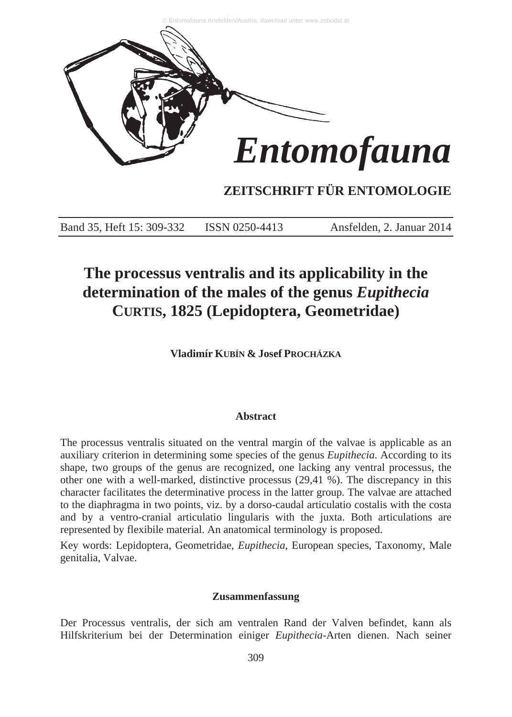

### **ZEITSCHRIFT FÜR ENTOMOLOGIE**

Band 35, Heft 15: 309-332 ISSN 0250-4413 Ansfelden, 2. Januar 2014

## **The processus ventralis and its applicability in the determination of the males of the genus** *Eupithecia* **CURTIS, 1825 (Lepidoptera, Geometridae)**

**Vladimír KUBÍN & Josef PROCHÁZKA**

#### **Abstract**

The processus ventralis situated on the ventral margin of the valvae is applicable as an auxiliary criterion in determining some species of the genus *Eupithecia*. According to its shape, two groups of the genus are recognized, one lacking any ventral processus, the other one with a well-marked, distinctive processus (29,41 %). The discrepancy in this character facilitates the determinative process in the latter group. The valvae are attached to the diaphragma in two points, viz. by a dorso-caudal articulatio costalis with the costa and by a ventro-cranial articulatio lingularis with the juxta. Both articulations are represented by flexibile material. An anatomical terminology is proposed.

Key words: Lepidoptera, Geometridae, *Eupithecia*, European species, Taxonomy, Male genitalia, Valvae.

#### **Zusammenfassung**

Der Processus ventralis, der sich am ventralen Rand der Valven befindet, kann als Hilfskriterium bei der Determination einiger *Eupithecia*-Arten dienen. Nach seiner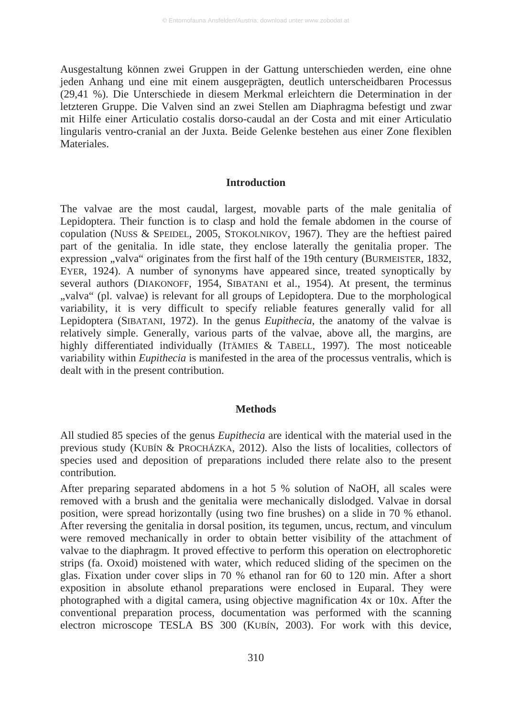Ausgestaltung können zwei Gruppen in der Gattung unterschieden werden, eine ohne jeden Anhang und eine mit einem ausgeprägten, deutlich unterscheidbaren Processus (29,41 %). Die Unterschiede in diesem Merkmal erleichtern die Determination in der letzteren Gruppe. Die Valven sind an zwei Stellen am Diaphragma befestigt und zwar mit Hilfe einer Articulatio costalis dorso-caudal an der Costa and mit einer Articulatio lingularis ventro-cranial an der Juxta. Beide Gelenke bestehen aus einer Zone flexiblen **Materiales** 

#### **Introduction**

The valvae are the most caudal, largest, movable parts of the male genitalia of Lepidoptera. Their function is to clasp and hold the female abdomen in the course of copulation (NUSS & SPEIDEL, 2005, STOKOLNIKOV, 1967). They are the heftiest paired part of the genitalia. In idle state, they enclose laterally the genitalia proper. The expression "valva" originates from the first half of the 19th century (BURMEISTER, 1832, EYER, 1924). A number of synonyms have appeared since, treated synoptically by several authors (DIAKONOFF, 1954, SIBATANI et al., 1954). At present, the terminus ..valva" (pl. valvae) is relevant for all groups of Lepidoptera. Due to the morphological variability, it is very difficult to specify reliable features generally valid for all Lepidoptera (SIBATANI, 1972). In the genus *Eupithecia*, the anatomy of the valvae is relatively simple. Generally, various parts of the valvae, above all, the margins, are highly differentiated individually (ITÄMIES & TABELL, 1997). The most noticeable variability within *Eupithecia* is manifested in the area of the processus ventralis, which is dealt with in the present contribution.

#### **Methods**

All studied 85 species of the genus *Eupithecia* are identical with the material used in the previous study (KUBÍN & PROCHÁZKA, 2012). Also the lists of localities, collectors of species used and deposition of preparations included there relate also to the present contribution.

After preparing separated abdomens in a hot 5 % solution of NaOH, all scales were removed with a brush and the genitalia were mechanically dislodged. Valvae in dorsal position, were spread horizontally (using two fine brushes) on a slide in 70 % ethanol. After reversing the genitalia in dorsal position, its tegumen, uncus, rectum, and vinculum were removed mechanically in order to obtain better visibility of the attachment of valvae to the diaphragm. It proved effective to perform this operation on electrophoretic strips (fa. Oxoid) moistened with water, which reduced sliding of the specimen on the glas. Fixation under cover slips in 70 % ethanol ran for 60 to 120 min. After a short exposition in absolute ethanol preparations were enclosed in Euparal. They were photographed with a digital camera, using objective magnification 4x or 10x. After the conventional preparation process, documentation was performed with the scanning electron microscope TESLA BS 300 (KUBÍN, 2003). For work with this device,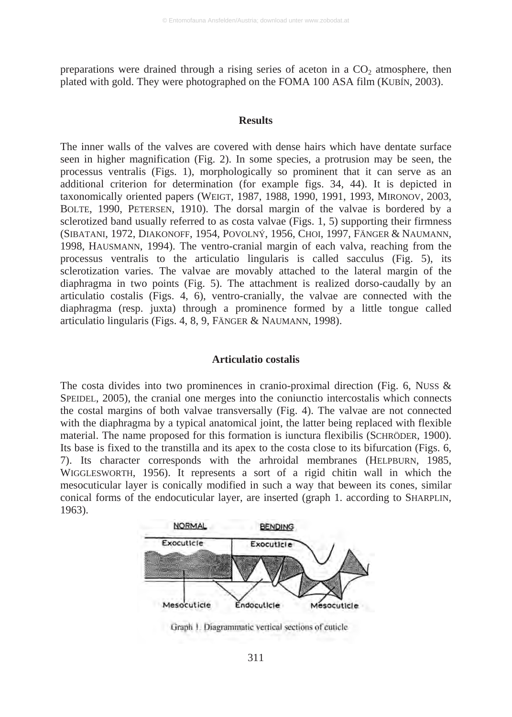preparations were drained through a rising series of aceton in a  $CO<sub>2</sub>$  atmosphere, then plated with gold. They were photographed on the FOMA 100 ASA film (KUBÍN, 2003).

#### **Results**

The inner walls of the valves are covered with dense hairs which have dentate surface seen in higher magnification (Fig. 2). In some species, a protrusion may be seen, the processus ventralis (Figs. 1), morphologically so prominent that it can serve as an additional criterion for determination (for example figs. 34, 44). It is depicted in taxonomically oriented papers (WEIGT, 1987, 1988, 1990, 1991, 1993, MIRONOV, 2003, BOLTE, 1990, PETERSEN, 1910). The dorsal margin of the valvae is bordered by a sclerotized band usually referred to as costa valvae (Figs. 1, 5) supporting their firmness (SIBATANI, 1972, DIAKONOFF, 1954, POVOLNÝ, 1956, CHOI, 1997, FÄNGER & NAUMANN, 1998, HAUSMANN, 1994). The ventro-cranial margin of each valva, reaching from the processus ventralis to the articulatio lingularis is called sacculus (Fig. 5), its sclerotization varies. The valvae are movably attached to the lateral margin of the diaphragma in two points (Fig. 5). The attachment is realized dorso-caudally by an articulatio costalis (Figs. 4, 6), ventro-cranially, the valvae are connected with the diaphragma (resp. juxta) through a prominence formed by a little tongue called articulatio lingularis (Figs. 4, 8, 9, FÄNGER & NAUMANN, 1998).

#### **Articulatio costalis**

The costa divides into two prominences in cranio-proximal direction (Fig. 6, NUSS  $\&$ SPEIDEL, 2005), the cranial one merges into the coniunctio intercostalis which connects the costal margins of both valvae transversally (Fig. 4). The valvae are not connected with the diaphragma by a typical anatomical joint, the latter being replaced with flexible material. The name proposed for this formation is iunctura flexibilis (SCHRÖDER, 1900). Its base is fixed to the transtilla and its apex to the costa close to its bifurcation (Figs. 6, 7). Its character corresponds with the arhroidal membranes (HELPBURN, 1985, WIGGLESWORTH, 1956). It represents a sort of a rigid chitin wall in which the mesocuticular layer is conically modified in such a way that beween its cones, similar conical forms of the endocuticular layer, are inserted (graph 1. according to SHARPLIN, 1963).



Graph 1. Diagrammatic vertical sections of cuticle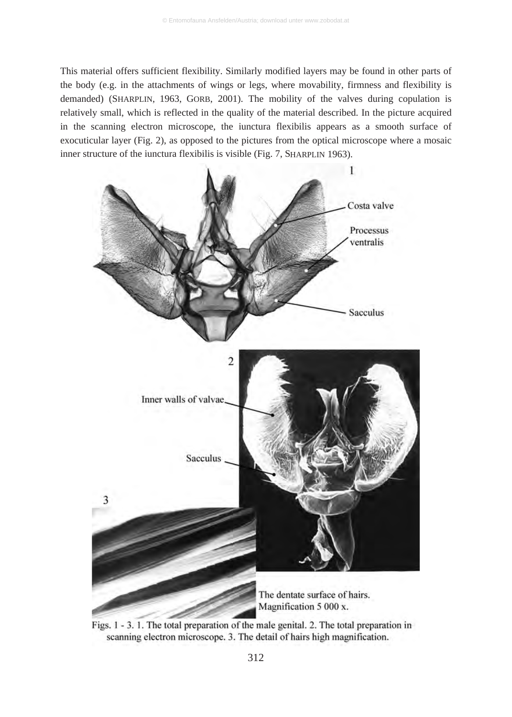This material offers sufficient flexibility. Similarly modified layers may be found in other parts of the body (e.g. in the attachments of wings or legs, where movability, firmness and flexibility is demanded) (SHARPLIN, 1963, GORB, 2001). The mobility of the valves during copulation is relatively small, which is reflected in the quality of the material described. In the picture acquired in the scanning electron microscope, the iunctura flexibilis appears as a smooth surface of exocuticular layer (Fig. 2), as opposed to the pictures from the optical microscope where a mosaic inner structure of the iunctura flexibilis is visible (Fig. 7, SHARPLIN 1963).



Figs. 1 - 3. 1. The total preparation of the male genital. 2. The total preparation in scanning electron microscope. 3. The detail of hairs high magnification.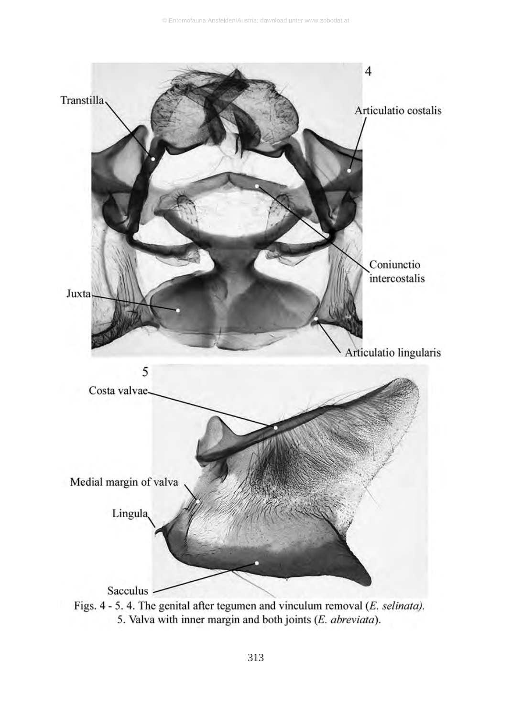

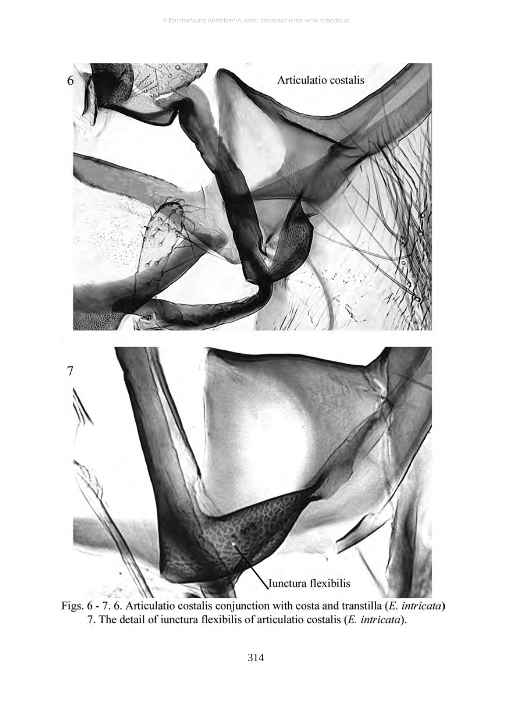

Figs. 6 - 7. 6. Articulatio costalis conjunction with costa and transtilla (E. intricata) 7. The detail of iunctura flexibilis of articulatio costalis (*E. intricata*).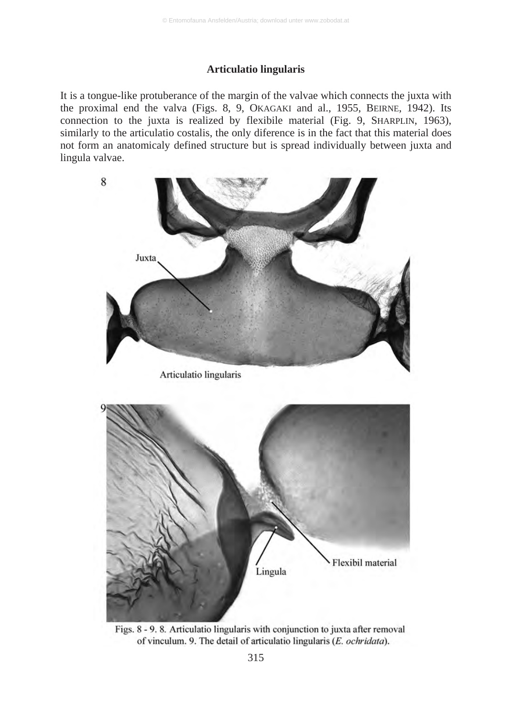#### **Articulatio lingularis**

It is a tongue-like protuberance of the margin of the valvae which connects the juxta with the proximal end the valva (Figs. 8, 9, OKAGAKI and al., 1955, BEIRNE, 1942). Its connection to the juxta is realized by flexibile material (Fig. 9, SHARPLIN, 1963), similarly to the articulatio costalis, the only diference is in the fact that this material does not form an anatomicaly defined structure but is spread individually between juxta and lingula valvae.

![](_page_6_Picture_3.jpeg)

Figs. 8 - 9.8. Articulatio lingularis with conjunction to juxta after removal of vinculum. 9. The detail of articulatio lingularis (E. ochridata).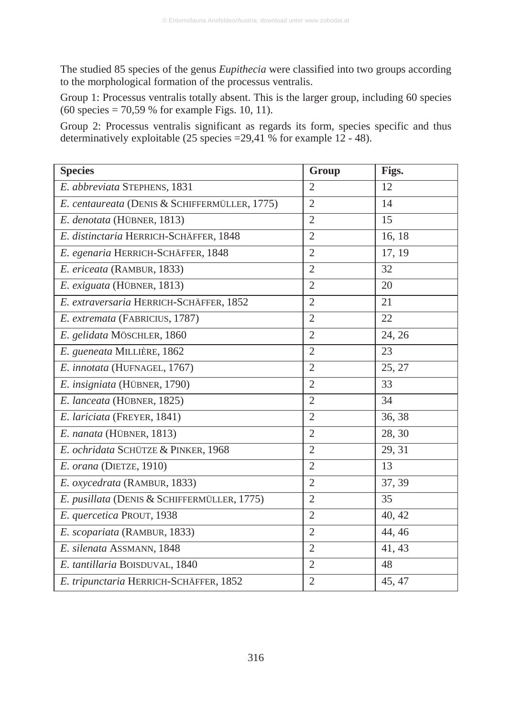The studied 85 species of the genus *Eupithecia* were classified into two groups according to the morphological formation of the processus ventralis.

Group 1: Processus ventralis totally absent. This is the larger group, including 60 species  $(60 \text{ species} = 70,59\% \text{ for example Figs. } 10, 11).$ 

Group 2: Processus ventralis significant as regards its form, species specific and thus determinatively exploitable (25 species =29,41 % for example 12 - 48).

| <b>Species</b>                                | Group          | Figs.  |
|-----------------------------------------------|----------------|--------|
| E. abbreviata STEPHENS, 1831                  | $\overline{2}$ | 12     |
| E. centaureata (DENIS & SCHIFFERMÜLLER, 1775) | $\overline{2}$ | 14     |
| E. denotata (HÜBNER, 1813)                    | $\overline{2}$ | 15     |
| E. distinctaria HERRICH-SCHÄFFER, 1848        | $\overline{2}$ | 16, 18 |
| E. egenaria HERRICH-SCHÄFFER, 1848            | $\overline{2}$ | 17, 19 |
| E. ericeata (RAMBUR, 1833)                    | $\overline{2}$ | 32     |
| E. exiguata (HÜBNER, 1813)                    | $\overline{c}$ | 20     |
| E. extraversaria HERRICH-SCHÄFFER, 1852       | 2              | 21     |
| E. extremata (FABRICIUS, 1787)                | $\overline{2}$ | 22     |
| E. gelidata MÖSCHLER, 1860                    | $\overline{2}$ | 24, 26 |
| E. gueneata MILLIÈRE, 1862                    | $\overline{2}$ | 23     |
| E. innotata (HUFNAGEL, 1767)                  | $\overline{2}$ | 25, 27 |
| E. insigniata (HÜBNER, 1790)                  | $\overline{2}$ | 33     |
| E. lanceata (HÜBNER, 1825)                    | 2              | 34     |
| E. lariciata (FREYER, 1841)                   | 2              | 36, 38 |
| E. nanata (HÜBNER, 1813)                      | 2              | 28, 30 |
| E. ochridata SCHÜTZE & PINKER, 1968           | $\overline{2}$ | 29, 31 |
| E. orana (DIETZE, 1910)                       | $\overline{2}$ | 13     |
| E. oxycedrata (RAMBUR, 1833)                  | $\overline{2}$ | 37, 39 |
| E. pusillata (DENIS & SCHIFFERMÜLLER, 1775)   | $\overline{2}$ | 35     |
| E. quercetica PROUT, 1938                     | 2              | 40, 42 |
| E. scopariata (RAMBUR, 1833)                  | $\overline{2}$ | 44, 46 |
| E. silenata ASSMANN, 1848                     | 2              | 41, 43 |
| E. tantillaria BOISDUVAL, 1840                | $\overline{2}$ | 48     |
| E. tripunctaria HERRICH-SCHÄFFER, 1852        | $\overline{c}$ | 45, 47 |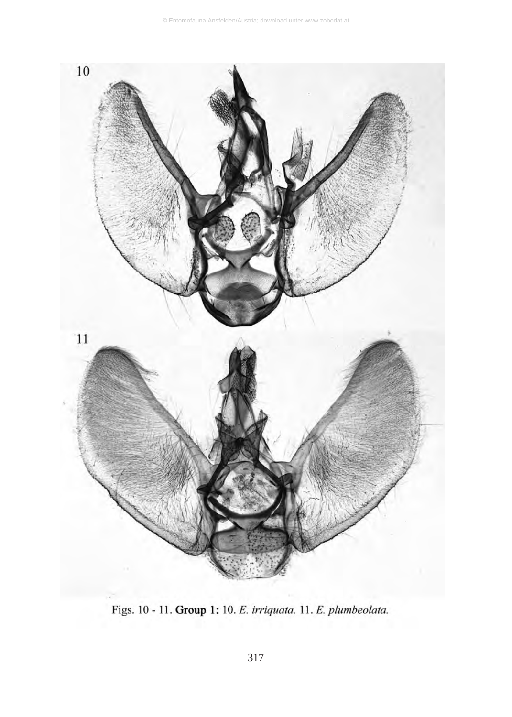![](_page_8_Figure_1.jpeg)

Figs. 10 - 11. Group 1: 10. E. irriquata. 11. E. plumbeolata.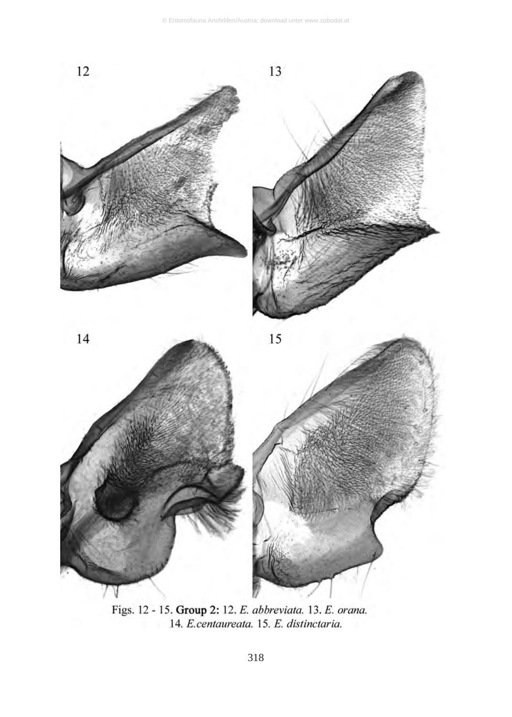![](_page_9_Figure_1.jpeg)

Figs. 12 - 15. Group 2: 12. E. abbreviata. 13. E. orana. 14. E.centaureata. 15. E. distinctaria.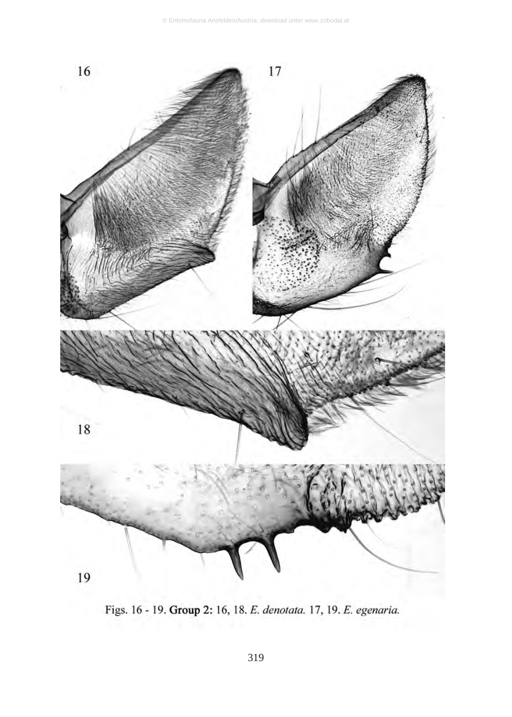![](_page_10_Figure_1.jpeg)

Figs. 16 - 19. Group 2: 16, 18. E. denotata. 17, 19. E. egenaria.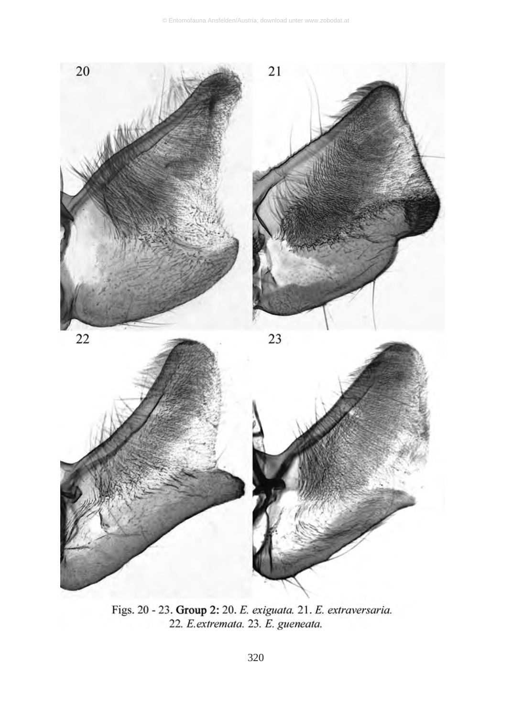![](_page_11_Figure_1.jpeg)

Figs. 20 - 23. Group 2: 20. E. exiguata. 21. E. extraversaria. 22. E. extremata. 23. E. gueneata.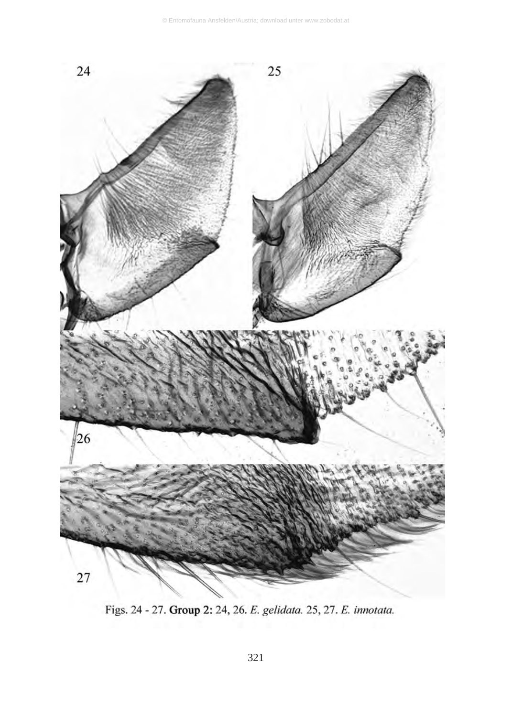![](_page_12_Figure_1.jpeg)

Figs. 24 - 27. Group 2: 24, 26. E. gelidata. 25, 27. E. innotata.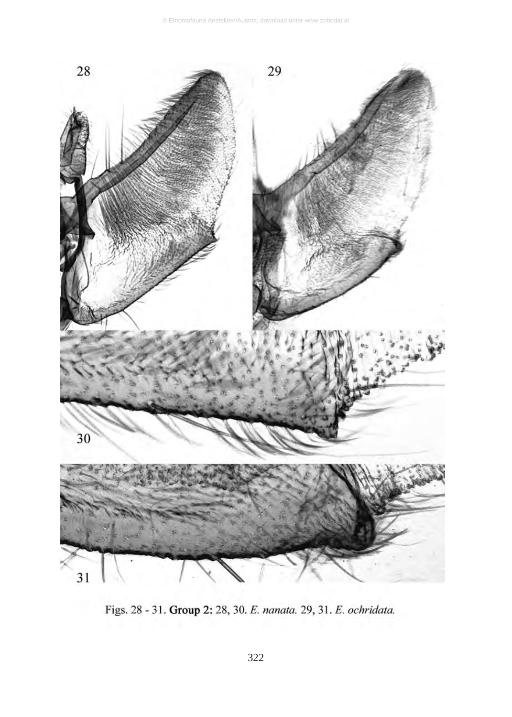![](_page_13_Figure_1.jpeg)

Figs. 28 - 31. Group 2: 28, 30. E. nanata. 29, 31. E. ochridata.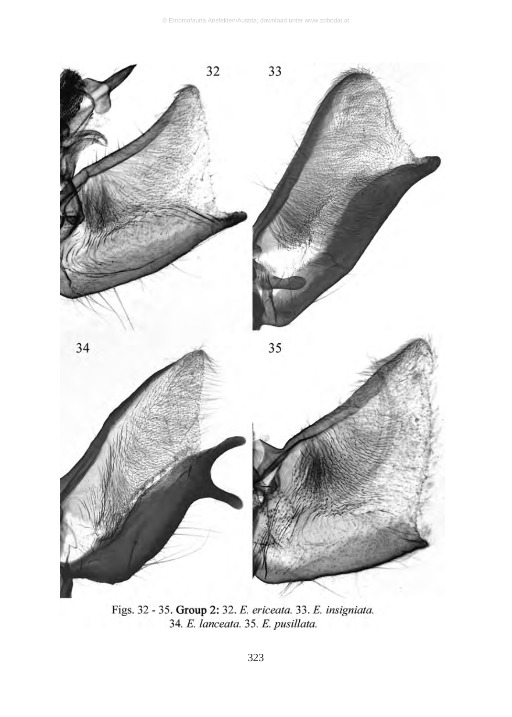![](_page_14_Figure_1.jpeg)

Figs. 32 - 35. Group 2: 32. E. ericeata. 33. E. insigniata. 34. E. lanceata. 35. E. pusillata.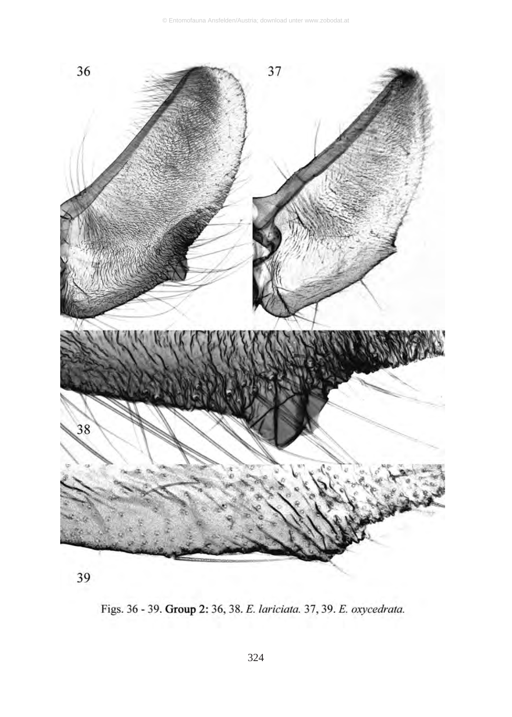![](_page_15_Figure_1.jpeg)

![](_page_15_Figure_2.jpeg)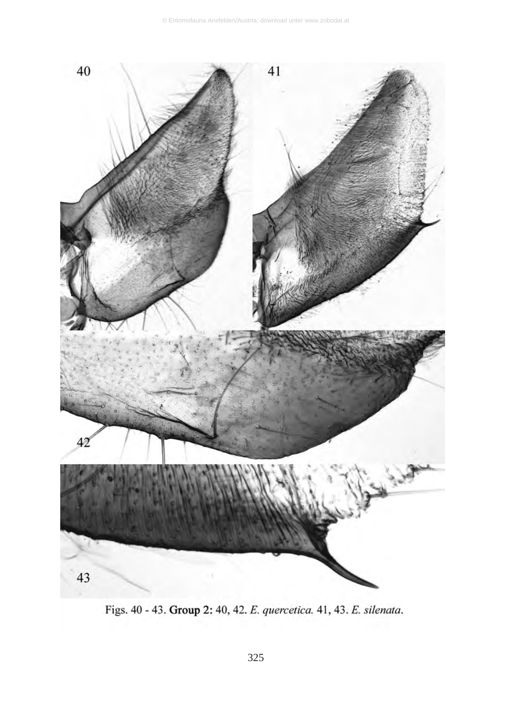![](_page_16_Figure_1.jpeg)

Figs. 40 - 43. Group 2: 40, 42. E. quercetica. 41, 43. E. silenata.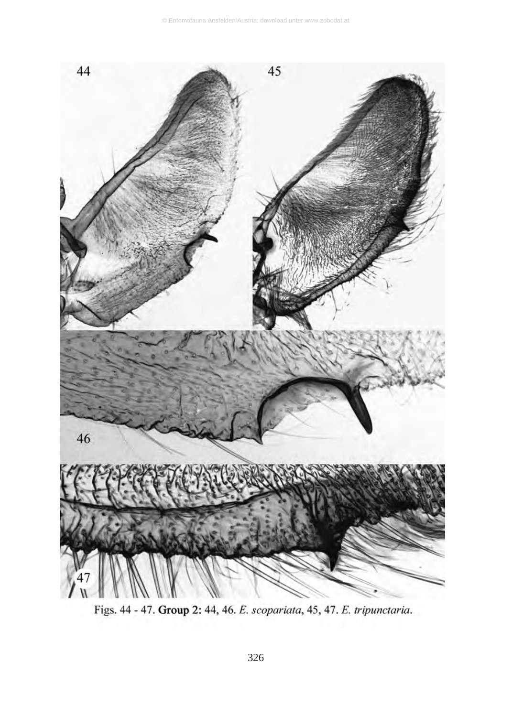![](_page_17_Figure_1.jpeg)

Figs. 44 - 47. Group 2: 44, 46. E. scopariata, 45, 47. E. tripunctaria.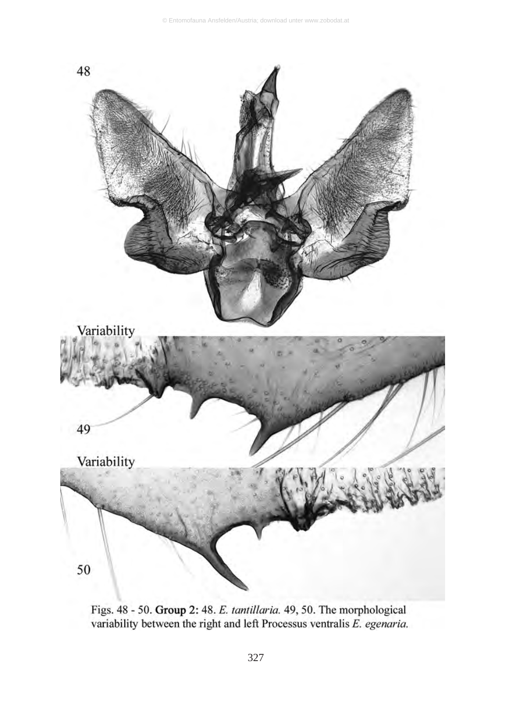![](_page_18_Figure_1.jpeg)

Figs. 48 - 50. Group 2: 48. E. tantillaria. 49, 50. The morphological variability between the right and left Processus ventralis E. egenaria.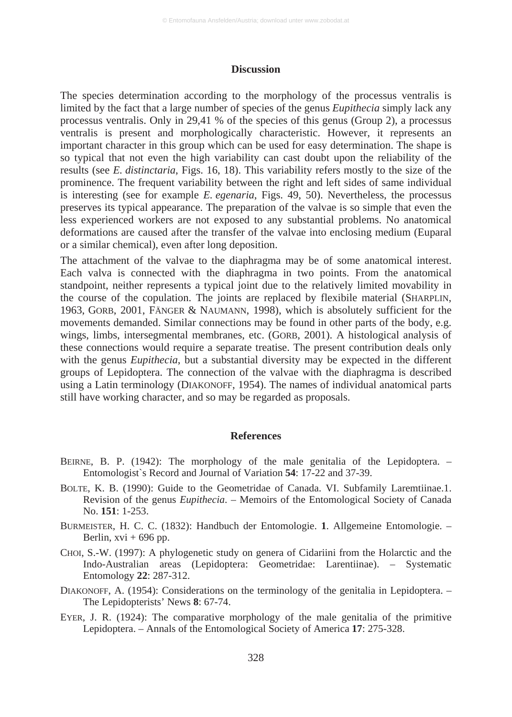#### **Discussion**

The species determination according to the morphology of the processus ventralis is limited by the fact that a large number of species of the genus *Eupithecia* simply lack any processus ventralis. Only in 29,41 % of the species of this genus (Group 2), a processus ventralis is present and morphologically characteristic. However, it represents an important character in this group which can be used for easy determination. The shape is so typical that not even the high variability can cast doubt upon the reliability of the results (see *E. distinctaria*, Figs. 16, 18). This variability refers mostly to the size of the prominence. The frequent variability between the right and left sides of same individual is interesting (see for example *E. egenaria*, Figs. 49, 50). Nevertheless, the processus preserves its typical appearance. The preparation of the valvae is so simple that even the less experienced workers are not exposed to any substantial problems. No anatomical deformations are caused after the transfer of the valvae into enclosing medium (Euparal or a similar chemical), even after long deposition.

The attachment of the valvae to the diaphragma may be of some anatomical interest. Each valva is connected with the diaphragma in two points. From the anatomical standpoint, neither represents a typical joint due to the relatively limited movability in the course of the copulation. The joints are replaced by flexibile material (SHARPLIN, 1963, GORB, 2001, FÄNGER & NAUMANN, 1998), which is absolutely sufficient for the movements demanded. Similar connections may be found in other parts of the body, e.g. wings, limbs, intersegmental membranes, etc. (GORB, 2001). A histological analysis of these connections would require a separate treatise. The present contribution deals only with the genus *Eupithecia*, but a substantial diversity may be expected in the different groups of Lepidoptera. The connection of the valvae with the diaphragma is described using a Latin terminology (DIAKONOFF, 1954). The names of individual anatomical parts still have working character, and so may be regarded as proposals.

#### **References**

- BEIRNE, B. P. (1942): The morphology of the male genitalia of the Lepidoptera. Entomologist`s Record and Journal of Variation **54**: 17-22 and 37-39.
- BOLTE, K. B. (1990): Guide to the Geometridae of Canada. VI. Subfamily Laremtiinae.1. Revision of the genus *Eupithecia*. – Memoirs of the Entomological Society of Canada No. **151**: 1-253.
- BURMEISTER, H. C. C. (1832): Handbuch der Entomologie. **1**. Allgemeine Entomologie. Berlin,  $xvi + 696$  pp.
- CHOI, S.-W. (1997): A phylogenetic study on genera of Cidariini from the Holarctic and the Indo-Australian areas (Lepidoptera: Geometridae: Larentiinae). – Systematic Entomology **22**: 287-312.
- DIAKONOFF, A. (1954): Considerations on the terminology of the genitalia in Lepidoptera. The Lepidopterists' News **8**: 67-74.
- EYER, J. R. (1924): The comparative morphology of the male genitalia of the primitive Lepidoptera. – Annals of the Entomological Society of America **17**: 275-328.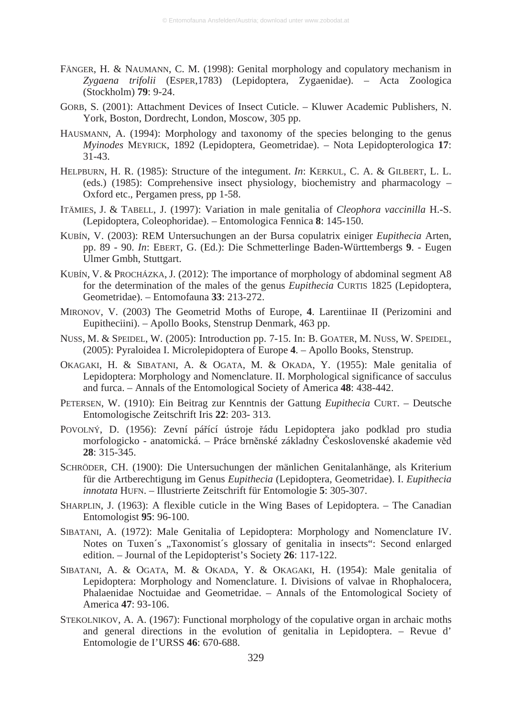- FÄNGER, H. & NAUMANN, C. M. (1998): Genital morphology and copulatory mechanism in *Zygaena trifolii* (ESPER,1783) (Lepidoptera, Zygaenidae). – Acta Zoologica (Stockholm) **79**: 9-24.
- GORB, S. (2001): Attachment Devices of Insect Cuticle. Kluwer Academic Publishers, N. York, Boston, Dordrecht, London, Moscow, 305 pp.
- HAUSMANN, A. (1994): Morphology and taxonomy of the species belonging to the genus *Myinodes* MEYRICK, 1892 (Lepidoptera, Geometridae). – Nota Lepidopterologica **17**: 31-43.
- HELPBURN, H. R. (1985): Structure of the integument. *In*: KERKUL, C. A. & GILBERT, L. L. (eds.) (1985): Comprehensive insect physiology, biochemistry and pharmacology – Oxford etc., Pergamen press, pp 1-58.
- ITÄMIES, J. & TABELL, J. (1997): Variation in male genitalia of *Cleophora vaccinilla* H.-S. (Lepidoptera, Coleophoridae). – Entomologica Fennica **8**: 145-150.
- KUBÍN, V. (2003): REM Untersuchungen an der Bursa copulatrix einiger *Eupithecia* Arten, pp. 89 - 90. *In*: EBERT, G. (Ed.): Die Schmetterlinge Baden-Württembergs **9**. - Eugen Ulmer Gmbh, Stuttgart.
- KUBÍN, V. & PROCHÁZKA, J. (2012): The importance of morphology of abdominal segment A8 for the determination of the males of the genus *Eupithecia* CURTIS 1825 (Lepidoptera, Geometridae). – Entomofauna **33**: 213-272.
- MIRONOV, V. (2003) The Geometrid Moths of Europe, **4**. Larentiinae II (Perizomini and Eupitheciini). – Apollo Books, Stenstrup Denmark, 463 pp.
- NUSS, M. & SPEIDEL, W. (2005): Introduction pp. 7-15. In: B. GOATER, M. NUSS, W. SPEIDEL, (2005): Pyraloidea I. Microlepidoptera of Europe **4**. – Apollo Books, Stenstrup.
- OKAGAKI, H. & SIBATANI, A. & OGATA, M. & OKADA, Y. (1955): Male genitalia of Lepidoptera: Morphology and Nomenclature. II. Morphological significance of sacculus and furca. – Annals of the Entomological Society of America **48**: 438-442.
- PETERSEN, W. (1910): Ein Beitrag zur Kenntnis der Gattung *Eupithecia* CURT. Deutsche Entomologische Zeitschrift Iris **22**: 203- 313.
- POVOLNÝ, D. (1956): Zevní pářící ústroje řádu Lepidoptera jako podklad pro studia morfologicko - anatomická. – Práce brněnské základny Československé akademie věd **28**: 315-345.
- SCHRÖDER, CH. (1900): Die Untersuchungen der mänlichen Genitalanhänge, als Kriterium für die Artberechtigung im Genus *Eupithecia* (Lepidoptera, Geometridae). I. *Eupithecia innotata* HUFN. – Illustrierte Zeitschrift für Entomologie **5**: 305-307.
- SHARPLIN, J. (1963): A flexible cuticle in the Wing Bases of Lepidoptera. The Canadian Entomologist **95**: 96-100.
- SIBATANI, A. (1972): Male Genitalia of Lepidoptera: Morphology and Nomenclature IV. Notes on Tuxen´s "Taxonomist´s glossary of genitalia in insects": Second enlarged edition. – Journal of the Lepidopterist's Society **26**: 117-122.
- SIBATANI, A. & OGATA, M. & OKADA, Y. & OKAGAKI, H. (1954): Male genitalia of Lepidoptera: Morphology and Nomenclature. I. Divisions of valvae in Rhophalocera, Phalaenidae Noctuidae and Geometridae. – Annals of the Entomological Society of America **47**: 93-106.
- STEKOLNIKOV, A. A. (1967): Functional morphology of the copulative organ in archaic moths and general directions in the evolution of genitalia in Lepidoptera. – Revue d' Entomologie de I'URSS **46**: 670-688.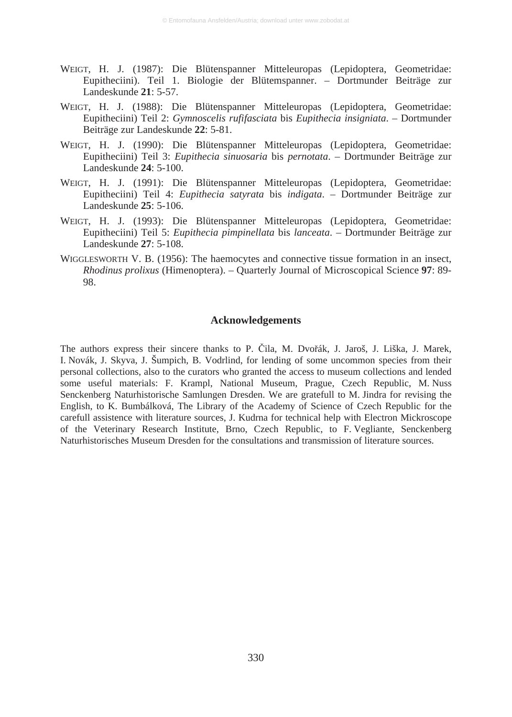- WEIGT, H. J. (1987): Die Blütenspanner Mitteleuropas (Lepidoptera, Geometridae: Eupitheciini). Teil 1. Biologie der Blütemspanner. – Dortmunder Beiträge zur Landeskunde **21**: 5-57.
- WEIGT, H. J. (1988): Die Blütenspanner Mitteleuropas (Lepidoptera, Geometridae: Eupitheciini) Teil 2: *Gymnoscelis rufifasciata* bis *Eupithecia insigniata*. – Dortmunder Beiträge zur Landeskunde **22**: 5-81.
- WEIGT, H. J. (1990): Die Blütenspanner Mitteleuropas (Lepidoptera, Geometridae: Eupitheciini) Teil 3: *Eupithecia sinuosaria* bis *pernotata*. – Dortmunder Beiträge zur Landeskunde **24**: 5-100.
- WEIGT, H. J. (1991): Die Blütenspanner Mitteleuropas (Lepidoptera, Geometridae: Eupitheciini) Teil 4: *Eupithecia satyrata* bis *indigata*. – Dortmunder Beiträge zur Landeskunde **25**: 5-106.
- WEIGT, H. J. (1993): Die Blütenspanner Mitteleuropas (Lepidoptera, Geometridae: Eupitheciini) Teil 5: *Eupithecia pimpinellata* bis *lanceata*. – Dortmunder Beiträge zur Landeskunde **27**: 5-108.
- WIGGLESWORTH V. B. (1956): The haemocytes and connective tissue formation in an insect, *Rhodinus prolixus* (Himenoptera). – Quarterly Journal of Microscopical Science **97**: 89- 98.

#### **Acknowledgements**

The authors express their sincere thanks to P. Čila, M. Dvořák, J. Jaroš, J. Liška, J. Marek, I. Novák, J. Skyva, J. Šumpich, B. Vodrlind, for lending of some uncommon species from their personal collections, also to the curators who granted the access to museum collections and lended some useful materials: F. Krampl, National Museum, Prague, Czech Republic, M. Nuss Senckenberg Naturhistorische Samlungen Dresden. We are gratefull to M. Jindra for revising the English, to K. Bumbálková, The Library of the Academy of Science of Czech Republic for the carefull assistence with literature sources, J. Kudrna for technical help with Electron Mickroscope of the Veterinary Research Institute, Brno, Czech Republic, to F. Vegliante, Senckenberg Naturhistorisches Museum Dresden for the consultations and transmission of literature sources.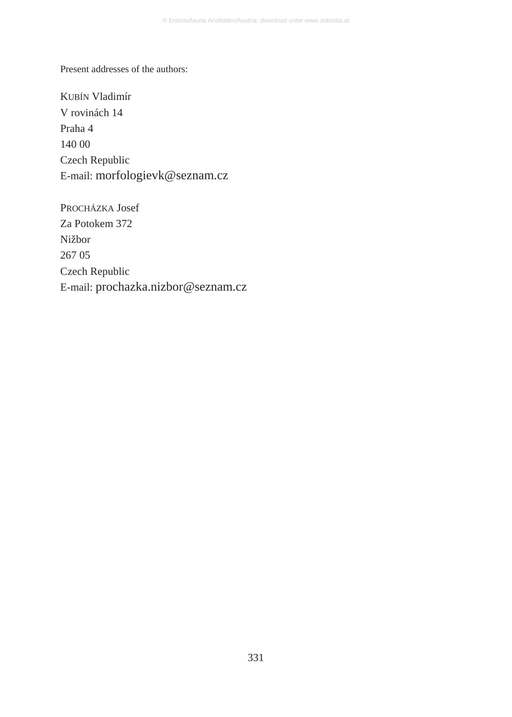Present addresses of the authors:

KUBÍN Vladimír V rovinách 14 Praha 4 140 00 Czech Republic E-mail: morfologievk@seznam.cz

PROCHÁZKA Josef Za Potokem 372 Nižbor 267 05 Czech Republic E-mail: prochazka.nizbor@seznam.cz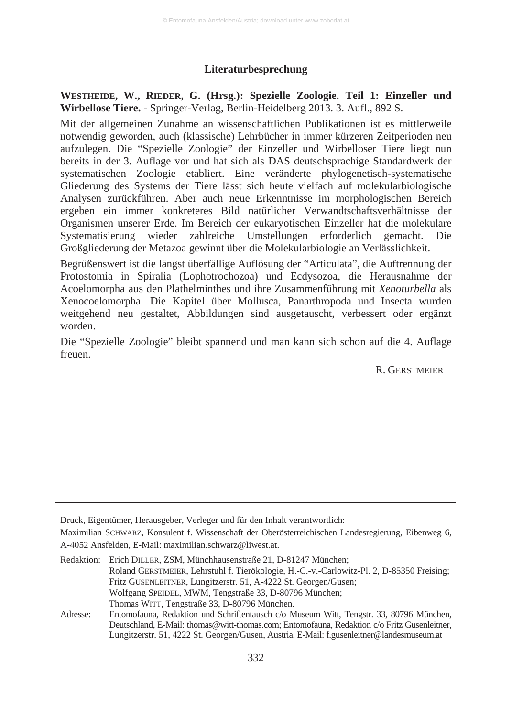#### **Literaturbesprechung**

**WESTHEIDE, W., RIEDER, G. (Hrsg.): Spezielle Zoologie. Teil 1: Einzeller und Wirbellose Tiere.** - Springer-Verlag, Berlin-Heidelberg 2013. 3. Aufl., 892 S.

Mit der allgemeinen Zunahme an wissenschaftlichen Publikationen ist es mittlerweile notwendig geworden, auch (klassische) Lehrbücher in immer kürzeren Zeitperioden neu aufzulegen. Die "Spezielle Zoologie" der Einzeller und Wirbelloser Tiere liegt nun bereits in der 3. Auflage vor und hat sich als DAS deutschsprachige Standardwerk der systematischen Zoologie etabliert. Eine veränderte phylogenetisch-systematische Gliederung des Systems der Tiere lässt sich heute vielfach auf molekularbiologische Analysen zurückführen. Aber auch neue Erkenntnisse im morphologischen Bereich ergeben ein immer konkreteres Bild natürlicher Verwandtschaftsverhältnisse der Organismen unserer Erde. Im Bereich der eukaryotischen Einzeller hat die molekulare Systematisierung wieder zahlreiche Umstellungen erforderlich gemacht. Die Großgliederung der Metazoa gewinnt über die Molekularbiologie an Verlässlichkeit.

Begrüßenswert ist die längst überfällige Auflösung der "Articulata", die Auftrennung der Protostomia in Spiralia (Lophotrochozoa) und Ecdysozoa, die Herausnahme der Acoelomorpha aus den Plathelminthes und ihre Zusammenführung mit *Xenoturbella* als Xenocoelomorpha. Die Kapitel über Mollusca, Panarthropoda und Insecta wurden weitgehend neu gestaltet, Abbildungen sind ausgetauscht, verbessert oder ergänzt worden.

Die "Spezielle Zoologie" bleibt spannend und man kann sich schon auf die 4. Auflage freuen.

R. GERSTMEIER

Druck, Eigentümer, Herausgeber, Verleger und für den Inhalt verantwortlich:

Maximilian SCHWARZ, Konsulent f. Wissenschaft der Oberösterreichischen Landesregierung, Eibenweg 6, A-4052 Ansfelden, E-Mail: maximilian.schwarz@liwest.at.

Redaktion: Erich DILLER, ZSM, Münchhausenstraße 21, D-81247 München; Roland GERSTMEIER, Lehrstuhl f. Tierökologie, H.-C.-v.-Carlowitz-Pl. 2, D-85350 Freising; Fritz GUSENLEITNER, Lungitzerstr. 51, A-4222 St. Georgen/Gusen; Wolfgang SPEIDEL, MWM, Tengstraße 33, D-80796 München; Thomas WITT, Tengstraße 33, D-80796 München.

Adresse: Entomofauna, Redaktion und Schriftentausch c/o Museum Witt, Tengstr. 33, 80796 München, Deutschland, E-Mail: thomas@witt-thomas.com; Entomofauna, Redaktion c/o Fritz Gusenleitner, Lungitzerstr. 51, 4222 St. Georgen/Gusen, Austria, E-Mail: f.gusenleitner@landesmuseum.at